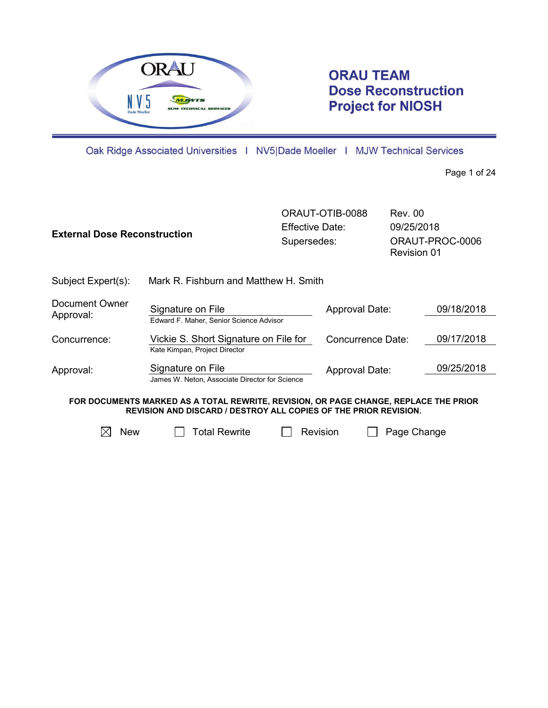

# **ORAU TEAM Dose Reconstruction Project for NIOSH**

Oak Ridge Associated Universities | NV5|Dade Moeller | MJW Technical Services

Page 1 of 24

| <b>External Dose Reconstruction</b>                                                                                                                             |                                                                        | ORAUT-OTIB-0088<br>Effective Date:<br>Supersedes: |                   | Rev. 00<br>09/25/2018<br>ORAUT-PROC-0006<br><b>Revision 01</b> |            |
|-----------------------------------------------------------------------------------------------------------------------------------------------------------------|------------------------------------------------------------------------|---------------------------------------------------|-------------------|----------------------------------------------------------------|------------|
| Subject Expert(s):                                                                                                                                              | Mark R. Fishburn and Matthew H. Smith                                  |                                                   |                   |                                                                |            |
| Document Owner<br>Approval:                                                                                                                                     | Signature on File<br>Edward F. Maher, Senior Science Advisor           |                                                   | Approval Date:    |                                                                | 09/18/2018 |
| Concurrence:                                                                                                                                                    | Vickie S. Short Signature on File for<br>Kate Kimpan, Project Director |                                                   | Concurrence Date: |                                                                | 09/17/2018 |
| Approval:                                                                                                                                                       | Signature on File<br>James W. Neton, Associate Director for Science    |                                                   | Approval Date:    |                                                                | 09/25/2018 |
| FOR DOCUMENTS MARKED AS A TOTAL REWRITE, REVISION, OR PAGE CHANGE, REPLACE THE PRIOR<br><b>REVISION AND DISCARD / DESTROY ALL COPIES OF THE PRIOR REVISION.</b> |                                                                        |                                                   |                   |                                                                |            |
| <b>New</b><br>IХ                                                                                                                                                | Total Rewrite                                                          | Revision                                          |                   | Page Change                                                    |            |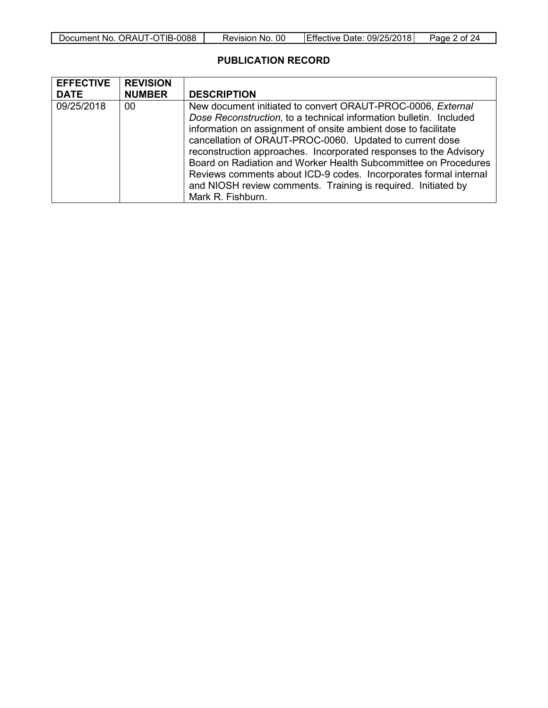| Document No.<br>ORAUT-OTIB-0088 | 00<br>Revision<br>No. י | Effective<br>09/25/2018<br>Date: | of $2$<br>Page |
|---------------------------------|-------------------------|----------------------------------|----------------|

# **PUBLICATION RECORD**

| <b>EFFECTIVE</b> | <b>REVISION</b> |                                                                                                                                                                                                                                                                                                                                                                                                                                                                                                                                              |
|------------------|-----------------|----------------------------------------------------------------------------------------------------------------------------------------------------------------------------------------------------------------------------------------------------------------------------------------------------------------------------------------------------------------------------------------------------------------------------------------------------------------------------------------------------------------------------------------------|
| <b>DATE</b>      | <b>NUMBER</b>   | <b>DESCRIPTION</b>                                                                                                                                                                                                                                                                                                                                                                                                                                                                                                                           |
| 09/25/2018       | 00              | New document initiated to convert ORAUT-PROC-0006, External<br>Dose Reconstruction, to a technical information bulletin. Included<br>information on assignment of onsite ambient dose to facilitate<br>cancellation of ORAUT-PROC-0060. Updated to current dose<br>reconstruction approaches. Incorporated responses to the Advisory<br>Board on Radiation and Worker Health Subcommittee on Procedures<br>Reviews comments about ICD-9 codes. Incorporates formal internal<br>and NIOSH review comments. Training is required. Initiated by |
|                  |                 | Mark R. Fishburn.                                                                                                                                                                                                                                                                                                                                                                                                                                                                                                                            |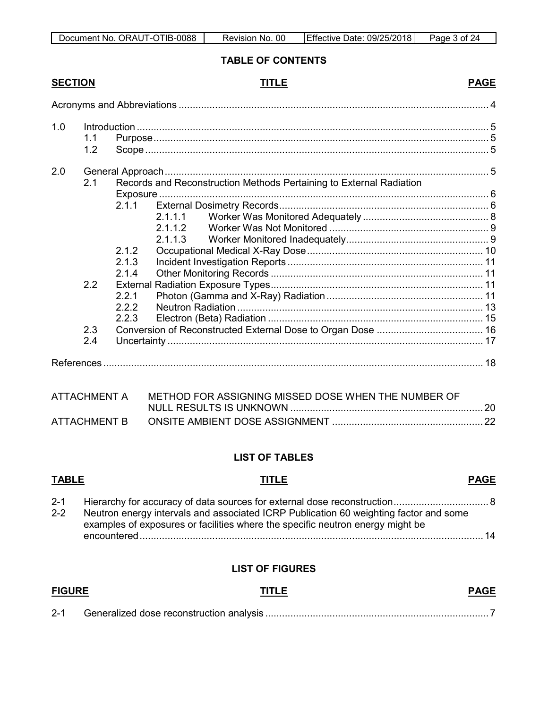| Document No. ORAUT-OTIB-0088 | 00<br>Revision No. | Effective Date: 09/25/2018 | Page 3 of 24 |
|------------------------------|--------------------|----------------------------|--------------|

#### **TABLE OF CONTENTS**

# **SECTION TITLE PAGE**

| 1.0 | 1.1<br>1.2 |                                                                     |  |
|-----|------------|---------------------------------------------------------------------|--|
| 2.0 | 2.1        | Records and Reconstruction Methods Pertaining to External Radiation |  |
|     |            | 2.1.1<br>2.1.1.1<br>2112                                            |  |
|     |            | 2.1.1.3<br>2.1.2<br>2.1.3<br>2.1.4                                  |  |
|     | 2.2        | 2.2.1<br>222<br>2.2.3                                               |  |
|     | 2.3<br>2.4 |                                                                     |  |
|     |            |                                                                     |  |

|              | ATTACHMENT A METHOD FOR ASSIGNING MISSED DOSE WHEN THE NUMBER OF |  |
|--------------|------------------------------------------------------------------|--|
|              |                                                                  |  |
| ATTACHMENT B |                                                                  |  |

## **LIST OF TABLES**

# **TABLE TITLE PAGE** 2-1 [Hierarchy for accuracy of data sources for external dose reconstruction.................................. 8](#page-7-1) 2-2 [Neutron energy intervals and associated ICRP Publication 60 weighting factor and some](#page-13-0)  [examples of exposures or facilities where the specific neutron energy might be](#page-13-0)  [encountered...........................................................................................................................14](#page-13-0)

### **LIST OF FIGURES**

| <b>FIGURE</b> | TITLE | <b>PAGE</b> |
|---------------|-------|-------------|
| $2 - 1$       |       |             |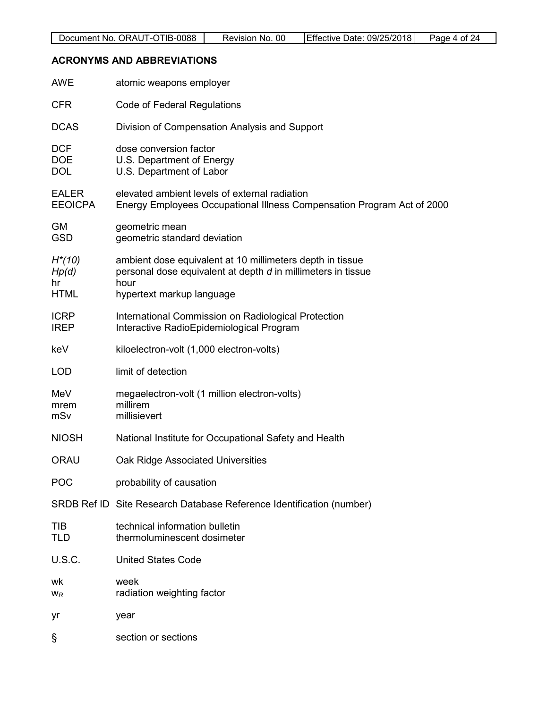# <span id="page-3-0"></span>**ACRONYMS AND ABBREVIATIONS**

| <b>AWE</b>                              | atomic weapons employer                                                                                                                                        |
|-----------------------------------------|----------------------------------------------------------------------------------------------------------------------------------------------------------------|
| <b>CFR</b>                              | Code of Federal Regulations                                                                                                                                    |
| <b>DCAS</b>                             | Division of Compensation Analysis and Support                                                                                                                  |
| <b>DCF</b><br><b>DOE</b><br><b>DOL</b>  | dose conversion factor<br>U.S. Department of Energy<br>U.S. Department of Labor                                                                                |
| <b>EALER</b><br><b>EEOICPA</b>          | elevated ambient levels of external radiation<br>Energy Employees Occupational Illness Compensation Program Act of 2000                                        |
| <b>GM</b><br><b>GSD</b>                 | geometric mean<br>geometric standard deviation                                                                                                                 |
| $H^*(10)$<br>Hp(d)<br>hr<br><b>HTML</b> | ambient dose equivalent at 10 millimeters depth in tissue<br>personal dose equivalent at depth d in millimeters in tissue<br>hour<br>hypertext markup language |
| <b>ICRP</b><br><b>IREP</b>              | International Commission on Radiological Protection<br>Interactive RadioEpidemiological Program                                                                |
| keV                                     | kiloelectron-volt (1,000 electron-volts)                                                                                                                       |
| <b>LOD</b>                              | limit of detection                                                                                                                                             |
| MeV<br>mrem<br>mSv                      | megaelectron-volt (1 million electron-volts)<br>millirem<br>millisievert                                                                                       |
| <b>NIOSH</b>                            | National Institute for Occupational Safety and Health                                                                                                          |
| <b>ORAU</b>                             | Oak Ridge Associated Universities                                                                                                                              |
| <b>POC</b>                              | probability of causation                                                                                                                                       |
|                                         | SRDB Ref ID Site Research Database Reference Identification (number)                                                                                           |
| <b>TIB</b><br><b>TLD</b>                | technical information bulletin<br>thermoluminescent dosimeter                                                                                                  |
| <b>U.S.C.</b>                           | <b>United States Code</b>                                                                                                                                      |
| wk<br>$W_R$                             | week<br>radiation weighting factor                                                                                                                             |
| yr                                      | year                                                                                                                                                           |
| S                                       | section or sections                                                                                                                                            |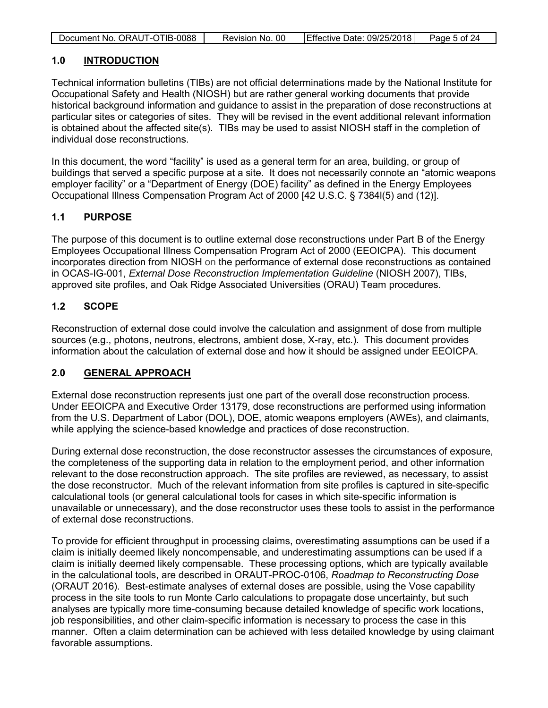| Document No. ORAUT-OTIB-0088 | Revision No. 00 | Effective Date: 09/25/2018 | Page 5 of 24 |
|------------------------------|-----------------|----------------------------|--------------|

#### <span id="page-4-0"></span>**1.0 INTRODUCTION**

Technical information bulletins (TIBs) are not official determinations made by the National Institute for Occupational Safety and Health (NIOSH) but are rather general working documents that provide historical background information and guidance to assist in the preparation of dose reconstructions at particular sites or categories of sites. They will be revised in the event additional relevant information is obtained about the affected site(s). TIBs may be used to assist NIOSH staff in the completion of individual dose reconstructions.

In this document, the word "facility" is used as a general term for an area, building, or group of buildings that served a specific purpose at a site. It does not necessarily connote an "atomic weapons employer facility" or a "Department of Energy (DOE) facility" as defined in the Energy Employees Occupational Illness Compensation Program Act of 2000 [42 U.S.C. § 7384l(5) and (12)].

#### <span id="page-4-1"></span>**1.1 PURPOSE**

The purpose of this document is to outline external dose reconstructions under Part B of the Energy Employees Occupational Illness Compensation Program Act of 2000 (EEOICPA). This document incorporates direction from NIOSH on the performance of external dose reconstructions as contained in OCAS-IG-001, *External Dose Reconstruction Implementation Guideline* (NIOSH 2007), TIBs, approved site profiles, and Oak Ridge Associated Universities (ORAU) Team procedures.

#### <span id="page-4-2"></span>**1.2 SCOPE**

Reconstruction of external dose could involve the calculation and assignment of dose from multiple sources (e.g., photons, neutrons, electrons, ambient dose, X-ray, etc.). This document provides information about the calculation of external dose and how it should be assigned under EEOICPA.

#### <span id="page-4-3"></span>**2.0 GENERAL APPROACH**

External dose reconstruction represents just one part of the overall dose reconstruction process. Under EEOICPA and Executive Order 13179, dose reconstructions are performed using information from the U.S. Department of Labor (DOL), DOE, atomic weapons employers (AWEs), and claimants, while applying the science-based knowledge and practices of dose reconstruction.

During external dose reconstruction, the dose reconstructor assesses the circumstances of exposure, the completeness of the supporting data in relation to the employment period, and other information relevant to the dose reconstruction approach. The site profiles are reviewed, as necessary, to assist the dose reconstructor. Much of the relevant information from site profiles is captured in site-specific calculational tools (or general calculational tools for cases in which site-specific information is unavailable or unnecessary), and the dose reconstructor uses these tools to assist in the performance of external dose reconstructions.

To provide for efficient throughput in processing claims, overestimating assumptions can be used if a claim is initially deemed likely noncompensable, and underestimating assumptions can be used if a claim is initially deemed likely compensable. These processing options, which are typically available in the calculational tools, are described in ORAUT-PROC-0106, *Roadmap to Reconstructing Dose* (ORAUT 2016). Best-estimate analyses of external doses are possible, using the Vose capability process in the site tools to run Monte Carlo calculations to propagate dose uncertainty, but such analyses are typically more time-consuming because detailed knowledge of specific work locations, job responsibilities, and other claim-specific information is necessary to process the case in this manner. Often a claim determination can be achieved with less detailed knowledge by using claimant favorable assumptions.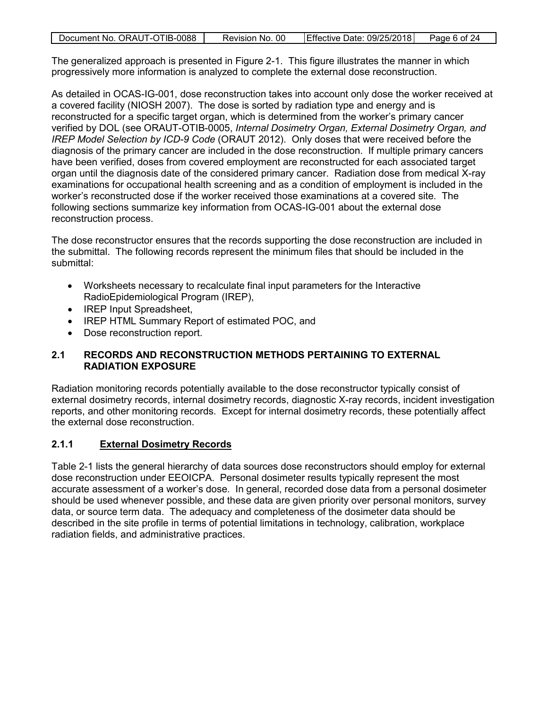| Document No. ORAUT-OTIB-0088 | Revision No. 00 | Effective Date: 09/25/2018 | Page 6 of 24 |
|------------------------------|-----------------|----------------------------|--------------|
|                              |                 |                            |              |

The generalized approach is presented in Figure 2-1. This figure illustrates the manner in which progressively more information is analyzed to complete the external dose reconstruction.

As detailed in OCAS-IG-001, dose reconstruction takes into account only dose the worker received at a covered facility (NIOSH 2007). The dose is sorted by radiation type and energy and is reconstructed for a specific target organ, which is determined from the worker's primary cancer verified by DOL (see ORAUT-OTIB-0005, *Internal Dosimetry Organ, External Dosimetry Organ, and IREP Model Selection by ICD-9 Code* (ORAUT 2012). Only doses that were received before the diagnosis of the primary cancer are included in the dose reconstruction. If multiple primary cancers have been verified, doses from covered employment are reconstructed for each associated target organ until the diagnosis date of the considered primary cancer. Radiation dose from medical X-ray examinations for occupational health screening and as a condition of employment is included in the worker's reconstructed dose if the worker received those examinations at a covered site. The following sections summarize key information from OCAS-IG-001 about the external dose reconstruction process.

The dose reconstructor ensures that the records supporting the dose reconstruction are included in the submittal. The following records represent the minimum files that should be included in the submittal:

- Worksheets necessary to recalculate final input parameters for the Interactive RadioEpidemiological Program (IREP),
- IREP Input Spreadsheet,
- IREP HTML Summary Report of estimated POC, and
- Dose reconstruction report.

#### <span id="page-5-0"></span>**2.1 RECORDS AND RECONSTRUCTION METHODS PERTAINING TO EXTERNAL RADIATION EXPOSURE**

Radiation monitoring records potentially available to the dose reconstructor typically consist of external dosimetry records, internal dosimetry records, diagnostic X-ray records, incident investigation reports, and other monitoring records. Except for internal dosimetry records, these potentially affect the external dose reconstruction.

#### <span id="page-5-1"></span>**2.1.1 External Dosimetry Records**

Table 2-1 lists the general hierarchy of data sources dose reconstructors should employ for external dose reconstruction under EEOICPA. Personal dosimeter results typically represent the most accurate assessment of a worker's dose. In general, recorded dose data from a personal dosimeter should be used whenever possible, and these data are given priority over personal monitors, survey data, or source term data. The adequacy and completeness of the dosimeter data should be described in the site profile in terms of potential limitations in technology, calibration, workplace radiation fields, and administrative practices.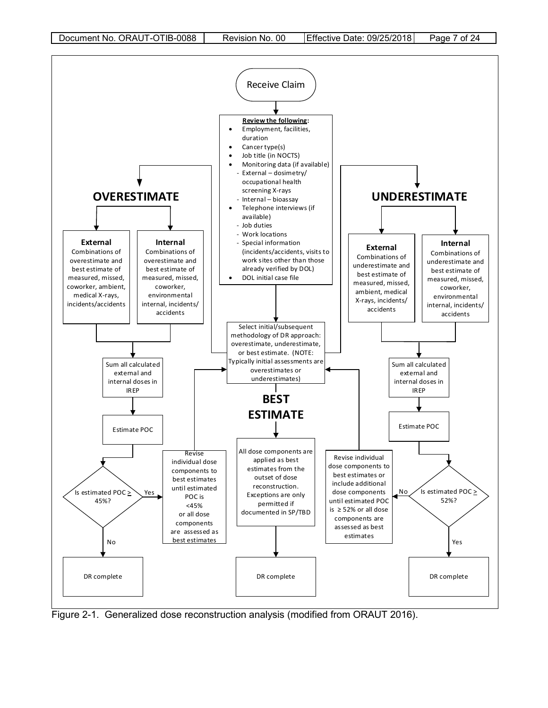

<span id="page-6-0"></span>Figure 2-1. Generalized dose reconstruction analysis (modified from ORAUT 2016).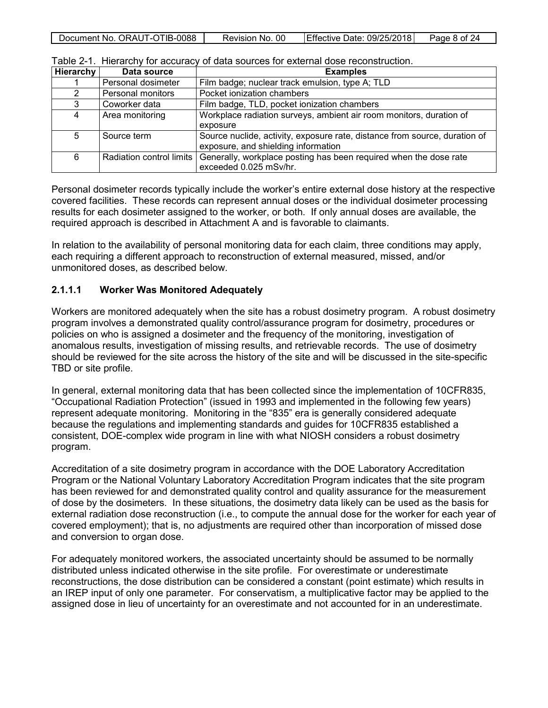<span id="page-7-1"></span>

| Effective Date: 09/25/2018<br>Document No. ORAUT-OTIB-0088<br>Page 8 of 24<br>Revision No. 00 |
|-----------------------------------------------------------------------------------------------|
|-----------------------------------------------------------------------------------------------|

| Hierarchy | Data source              | <b>Examples</b>                                                            |
|-----------|--------------------------|----------------------------------------------------------------------------|
|           | Personal dosimeter       | Film badge; nuclear track emulsion, type A; TLD                            |
| 2         | Personal monitors        | Pocket ionization chambers                                                 |
| 3         | Coworker data            | Film badge, TLD, pocket ionization chambers                                |
| 4         | Area monitoring          | Workplace radiation surveys, ambient air room monitors, duration of        |
|           |                          | exposure                                                                   |
| 5         | Source term              | Source nuclide, activity, exposure rate, distance from source, duration of |
|           |                          | exposure, and shielding information                                        |
| 6         | Radiation control limits | Generally, workplace posting has been required when the dose rate          |
|           |                          | exceeded 0.025 mSv/hr.                                                     |

Table 2-1. Hierarchy for accuracy of data sources for external dose reconstruction.

Personal dosimeter records typically include the worker's entire external dose history at the respective covered facilities. These records can represent annual doses or the individual dosimeter processing results for each dosimeter assigned to the worker, or both. If only annual doses are available, the required approach is described in Attachment A and is favorable to claimants.

In relation to the availability of personal monitoring data for each claim, three conditions may apply, each requiring a different approach to reconstruction of external measured, missed, and/or unmonitored doses, as described below.

#### <span id="page-7-0"></span>**2.1.1.1 Worker Was Monitored Adequately**

Workers are monitored adequately when the site has a robust dosimetry program. A robust dosimetry program involves a demonstrated quality control/assurance program for dosimetry, procedures or policies on who is assigned a dosimeter and the frequency of the monitoring, investigation of anomalous results, investigation of missing results, and retrievable records. The use of dosimetry should be reviewed for the site across the history of the site and will be discussed in the site-specific TBD or site profile.

In general, external monitoring data that has been collected since the implementation of 10CFR835, "Occupational Radiation Protection" (issued in 1993 and implemented in the following few years) represent adequate monitoring. Monitoring in the "835" era is generally considered adequate because the regulations and implementing standards and guides for 10CFR835 established a consistent, DOE-complex wide program in line with what NIOSH considers a robust dosimetry program.

Accreditation of a site dosimetry program in accordance with the DOE Laboratory Accreditation Program or the National Voluntary Laboratory Accreditation Program indicates that the site program has been reviewed for and demonstrated quality control and quality assurance for the measurement of dose by the dosimeters. In these situations, the dosimetry data likely can be used as the basis for external radiation dose reconstruction (i.e., to compute the annual dose for the worker for each year of covered employment); that is, no adjustments are required other than incorporation of missed dose and conversion to organ dose.

For adequately monitored workers, the associated uncertainty should be assumed to be normally distributed unless indicated otherwise in the site profile. For overestimate or underestimate reconstructions, the dose distribution can be considered a constant (point estimate) which results in an IREP input of only one parameter. For conservatism, a multiplicative factor may be applied to the assigned dose in lieu of uncertainty for an overestimate and not accounted for in an underestimate.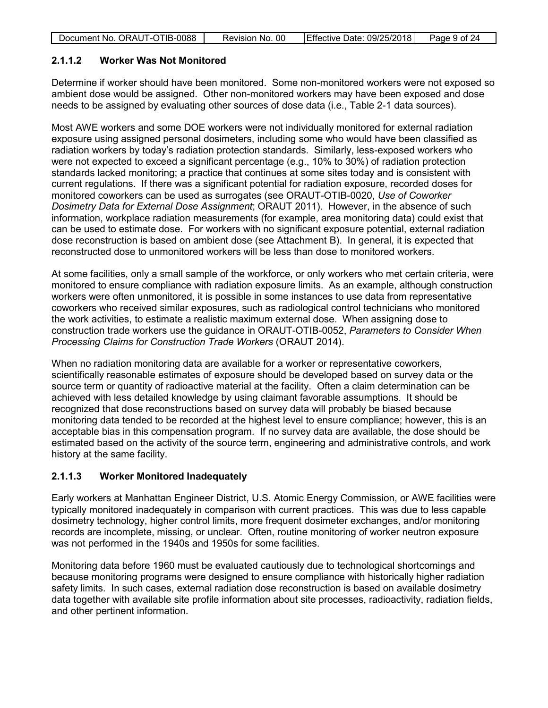| Document No. ORAUT-OTIB-0088 | Revision No. 00 | Effective Date: 09/25/2018 | Page 9 of 24 |
|------------------------------|-----------------|----------------------------|--------------|
|                              |                 |                            |              |

#### <span id="page-8-0"></span>**2.1.1.2 Worker Was Not Monitored**

Determine if worker should have been monitored. Some non-monitored workers were not exposed so ambient dose would be assigned. Other non-monitored workers may have been exposed and dose needs to be assigned by evaluating other sources of dose data (i.e., Table 2-1 data sources).

Most AWE workers and some DOE workers were not individually monitored for external radiation exposure using assigned personal dosimeters, including some who would have been classified as radiation workers by today's radiation protection standards. Similarly, less-exposed workers who were not expected to exceed a significant percentage (e.g., 10% to 30%) of radiation protection standards lacked monitoring; a practice that continues at some sites today and is consistent with current regulations. If there was a significant potential for radiation exposure, recorded doses for monitored coworkers can be used as surrogates (see ORAUT-OTIB-0020, *Use of Coworker Dosimetry Data for External Dose Assignment*; ORAUT 2011). However, in the absence of such information, workplace radiation measurements (for example, area monitoring data) could exist that can be used to estimate dose. For workers with no significant exposure potential, external radiation dose reconstruction is based on ambient dose (see Attachment B). In general, it is expected that reconstructed dose to unmonitored workers will be less than dose to monitored workers.

At some facilities, only a small sample of the workforce, or only workers who met certain criteria, were monitored to ensure compliance with radiation exposure limits. As an example, although construction workers were often unmonitored, it is possible in some instances to use data from representative coworkers who received similar exposures, such as radiological control technicians who monitored the work activities, to estimate a realistic maximum external dose. When assigning dose to construction trade workers use the guidance in ORAUT-OTIB-0052, *Parameters to Consider When Processing Claims for Construction Trade Workers* (ORAUT 2014).

When no radiation monitoring data are available for a worker or representative coworkers, scientifically reasonable estimates of exposure should be developed based on survey data or the source term or quantity of radioactive material at the facility. Often a claim determination can be achieved with less detailed knowledge by using claimant favorable assumptions. It should be recognized that dose reconstructions based on survey data will probably be biased because monitoring data tended to be recorded at the highest level to ensure compliance; however, this is an acceptable bias in this compensation program. If no survey data are available, the dose should be estimated based on the activity of the source term, engineering and administrative controls, and work history at the same facility.

#### <span id="page-8-1"></span>**2.1.1.3 Worker Monitored Inadequately**

Early workers at Manhattan Engineer District, U.S. Atomic Energy Commission, or AWE facilities were typically monitored inadequately in comparison with current practices. This was due to less capable dosimetry technology, higher control limits, more frequent dosimeter exchanges, and/or monitoring records are incomplete, missing, or unclear. Often, routine monitoring of worker neutron exposure was not performed in the 1940s and 1950s for some facilities.

Monitoring data before 1960 must be evaluated cautiously due to technological shortcomings and because monitoring programs were designed to ensure compliance with historically higher radiation safety limits. In such cases, external radiation dose reconstruction is based on available dosimetry data together with available site profile information about site processes, radioactivity, radiation fields, and other pertinent information.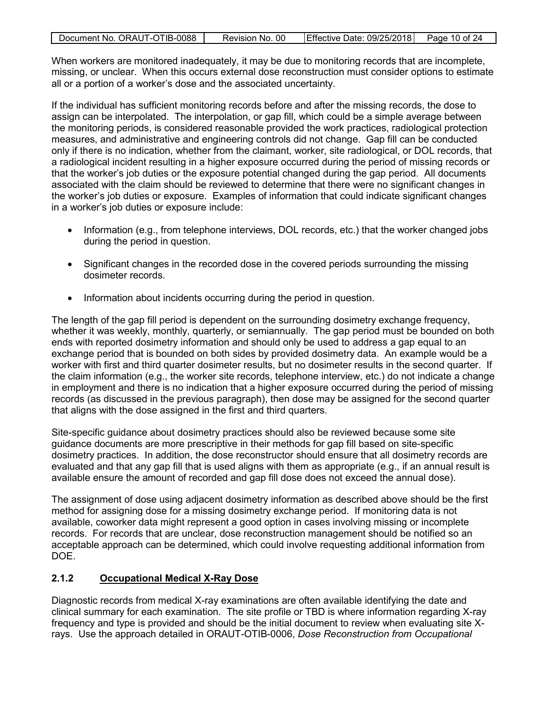| Document No. ORAUT-OTIB-0088 | Revision No. 00 | Effective Date: 09/25/2018   Page 10 of 24 |  |
|------------------------------|-----------------|--------------------------------------------|--|

When workers are monitored inadequately, it may be due to monitoring records that are incomplete. missing, or unclear. When this occurs external dose reconstruction must consider options to estimate all or a portion of a worker's dose and the associated uncertainty.

If the individual has sufficient monitoring records before and after the missing records, the dose to assign can be interpolated. The interpolation, or gap fill, which could be a simple average between the monitoring periods, is considered reasonable provided the work practices, radiological protection measures, and administrative and engineering controls did not change. Gap fill can be conducted only if there is no indication, whether from the claimant, worker, site radiological, or DOL records, that a radiological incident resulting in a higher exposure occurred during the period of missing records or that the worker's job duties or the exposure potential changed during the gap period. All documents associated with the claim should be reviewed to determine that there were no significant changes in the worker's job duties or exposure. Examples of information that could indicate significant changes in a worker's job duties or exposure include:

- Information (e.g., from telephone interviews, DOL records, etc.) that the worker changed jobs during the period in question.
- Significant changes in the recorded dose in the covered periods surrounding the missing dosimeter records.
- Information about incidents occurring during the period in question.

The length of the gap fill period is dependent on the surrounding dosimetry exchange frequency, whether it was weekly, monthly, quarterly, or semiannually. The gap period must be bounded on both ends with reported dosimetry information and should only be used to address a gap equal to an exchange period that is bounded on both sides by provided dosimetry data. An example would be a worker with first and third quarter dosimeter results, but no dosimeter results in the second quarter. If the claim information (e.g., the worker site records, telephone interview, etc.) do not indicate a change in employment and there is no indication that a higher exposure occurred during the period of missing records (as discussed in the previous paragraph), then dose may be assigned for the second quarter that aligns with the dose assigned in the first and third quarters.

Site-specific guidance about dosimetry practices should also be reviewed because some site guidance documents are more prescriptive in their methods for gap fill based on site-specific dosimetry practices. In addition, the dose reconstructor should ensure that all dosimetry records are evaluated and that any gap fill that is used aligns with them as appropriate (e.g., if an annual result is available ensure the amount of recorded and gap fill dose does not exceed the annual dose).

The assignment of dose using adjacent dosimetry information as described above should be the first method for assigning dose for a missing dosimetry exchange period. If monitoring data is not available, coworker data might represent a good option in cases involving missing or incomplete records. For records that are unclear, dose reconstruction management should be notified so an acceptable approach can be determined, which could involve requesting additional information from DOE.

#### <span id="page-9-0"></span>**2.1.2 Occupational Medical X-Ray Dose**

Diagnostic records from medical X-ray examinations are often available identifying the date and clinical summary for each examination. The site profile or TBD is where information regarding X-ray frequency and type is provided and should be the initial document to review when evaluating site Xrays. Use the approach detailed in ORAUT-OTIB-0006, *Dose Reconstruction from Occupational*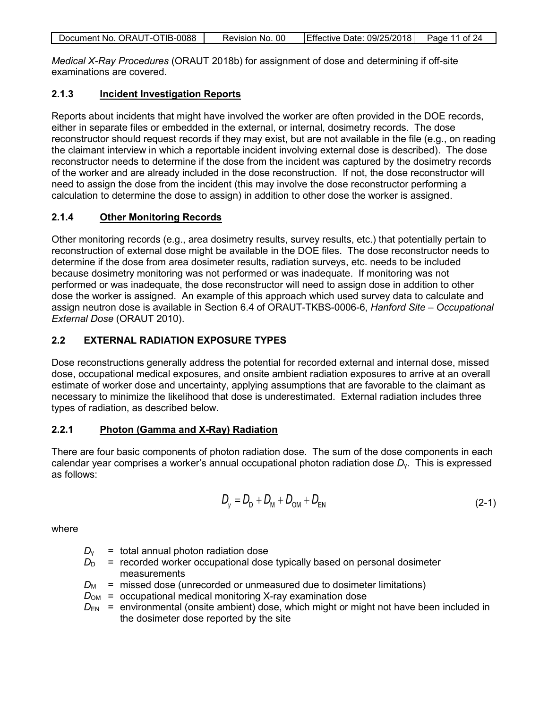| Document No. ORAUT-OTIB-0088 | Revision No. 00 | Effective Date: 09/25/2018 Page 11 of 24 |  |
|------------------------------|-----------------|------------------------------------------|--|
|                              |                 |                                          |  |

*Medical X-Ray Procedures* (ORAUT 2018b) for assignment of dose and determining if off-site examinations are covered.

#### <span id="page-10-0"></span>**2.1.3 Incident Investigation Reports**

Reports about incidents that might have involved the worker are often provided in the DOE records, either in separate files or embedded in the external, or internal, dosimetry records. The dose reconstructor should request records if they may exist, but are not available in the file (e.g., on reading the claimant interview in which a reportable incident involving external dose is described). The dose reconstructor needs to determine if the dose from the incident was captured by the dosimetry records of the worker and are already included in the dose reconstruction. If not, the dose reconstructor will need to assign the dose from the incident (this may involve the dose reconstructor performing a calculation to determine the dose to assign) in addition to other dose the worker is assigned.

#### <span id="page-10-1"></span>**2.1.4 Other Monitoring Records**

Other monitoring records (e.g., area dosimetry results, survey results, etc.) that potentially pertain to reconstruction of external dose might be available in the DOE files. The dose reconstructor needs to determine if the dose from area dosimeter results, radiation surveys, etc. needs to be included because dosimetry monitoring was not performed or was inadequate. If monitoring was not performed or was inadequate, the dose reconstructor will need to assign dose in addition to other dose the worker is assigned. An example of this approach which used survey data to calculate and assign neutron dose is available in Section 6.4 of ORAUT-TKBS-0006-6, *Hanford Site – Occupational External Dose* (ORAUT 2010).

### <span id="page-10-2"></span>**2.2 EXTERNAL RADIATION EXPOSURE TYPES**

Dose reconstructions generally address the potential for recorded external and internal dose, missed dose, occupational medical exposures, and onsite ambient radiation exposures to arrive at an overall estimate of worker dose and uncertainty, applying assumptions that are favorable to the claimant as necessary to minimize the likelihood that dose is underestimated. External radiation includes three types of radiation, as described below.

#### <span id="page-10-3"></span>**2.2.1 Photon (Gamma and X-Ray) Radiation**

There are four basic components of photon radiation dose. The sum of the dose components in each calendar year comprises a worker's annual occupational photon radiation dose *D*γ. This is expressed as follows:

$$
D_{V} = D_{D} + D_{M} + D_{OM} + D_{EN}
$$
 (2-1)

where

- $D_v$  = total annual photon radiation dose
- $D_D$  = recorded worker occupational dose typically based on personal dosimeter measurements
- $D_M$  = missed dose (unrecorded or unmeasured due to dosimeter limitations)
- $D_{OM}$  = occupational medical monitoring X-ray examination dose
- $D_{EN}$  = environmental (onsite ambient) dose, which might or might not have been included in the dosimeter dose reported by the site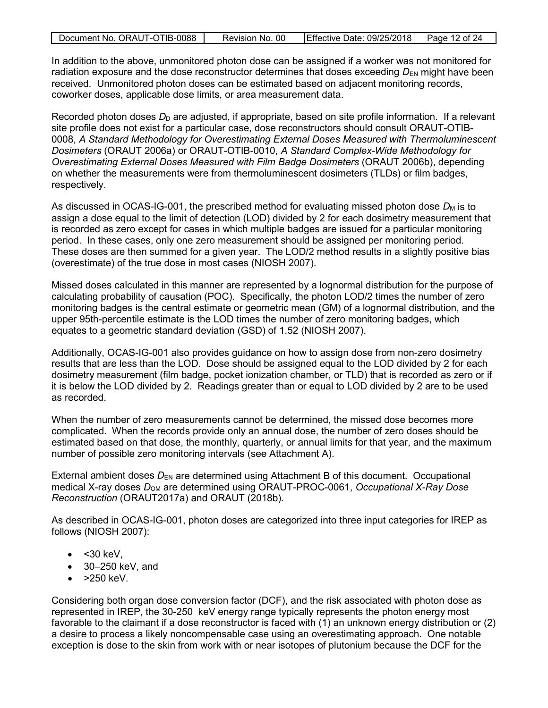| Document No. ORAUT-OTIB-0088 | Revision No. 00 | Effective Date: 09/25/2018 | Page 12 of 24 |
|------------------------------|-----------------|----------------------------|---------------|
|                              |                 |                            |               |

In addition to the above, unmonitored photon dose can be assigned if a worker was not monitored for radiation exposure and the dose reconstructor determines that doses exceeding  $D_{EN}$  might have been received. Unmonitored photon doses can be estimated based on adjacent monitoring records, coworker doses, applicable dose limits, or area measurement data.

Recorded photon doses  $D_D$  are adjusted, if appropriate, based on site profile information. If a relevant site profile does not exist for a particular case, dose reconstructors should consult ORAUT-OTIB-0008, *A Standard Methodology for Overestimating External Doses Measured with Thermoluminescent Dosimeters* (ORAUT 2006a) or ORAUT-OTIB-0010, *A Standard Complex-Wide Methodology for Overestimating External Doses Measured with Film Badge Dosimeters* (ORAUT 2006b), depending on whether the measurements were from thermoluminescent dosimeters (TLDs) or film badges, respectively.

As discussed in OCAS-IG-001, the prescribed method for evaluating missed photon dose  $D_M$  is to assign a dose equal to the limit of detection (LOD) divided by 2 for each dosimetry measurement that is recorded as zero except for cases in which multiple badges are issued for a particular monitoring period. In these cases, only one zero measurement should be assigned per monitoring period. These doses are then summed for a given year. The LOD/2 method results in a slightly positive bias (overestimate) of the true dose in most cases (NIOSH 2007).

Missed doses calculated in this manner are represented by a lognormal distribution for the purpose of calculating probability of causation (POC). Specifically, the photon LOD/2 times the number of zero monitoring badges is the central estimate or geometric mean (GM) of a lognormal distribution, and the upper 95th-percentile estimate is the LOD times the number of zero monitoring badges, which equates to a geometric standard deviation (GSD) of 1.52 (NIOSH 2007).

Additionally, OCAS-IG-001 also provides guidance on how to assign dose from non-zero dosimetry results that are less than the LOD. Dose should be assigned equal to the LOD divided by 2 for each dosimetry measurement (film badge, pocket ionization chamber, or TLD) that is recorded as zero or if it is below the LOD divided by 2. Readings greater than or equal to LOD divided by 2 are to be used as recorded.

When the number of zero measurements cannot be determined, the missed dose becomes more complicated. When the records provide only an annual dose, the number of zero doses should be estimated based on that dose, the monthly, quarterly, or annual limits for that year, and the maximum number of possible zero monitoring intervals (see Attachment A).

External ambient doses  $D_{EN}$  are determined using Attachment B of this document. Occupational medical X-ray doses  $D_{OM}$  are determined using ORAUT-PROC-0061, *Occupational X-Ray Dose Reconstruction* (ORAUT2017a) and ORAUT (2018b).

As described in OCAS-IG-001, photon doses are categorized into three input categories for IREP as follows (NIOSH 2007):

- $\bullet$  < 30 keV,
- 30–250 keV, and
- $\bullet$  >250 keV.

Considering both organ dose conversion factor (DCF), and the risk associated with photon dose as represented in IREP, the 30-250 keV energy range typically represents the photon energy most favorable to the claimant if a dose reconstructor is faced with (1) an unknown energy distribution or (2) a desire to process a likely noncompensable case using an overestimating approach. One notable exception is dose to the skin from work with or near isotopes of plutonium because the DCF for the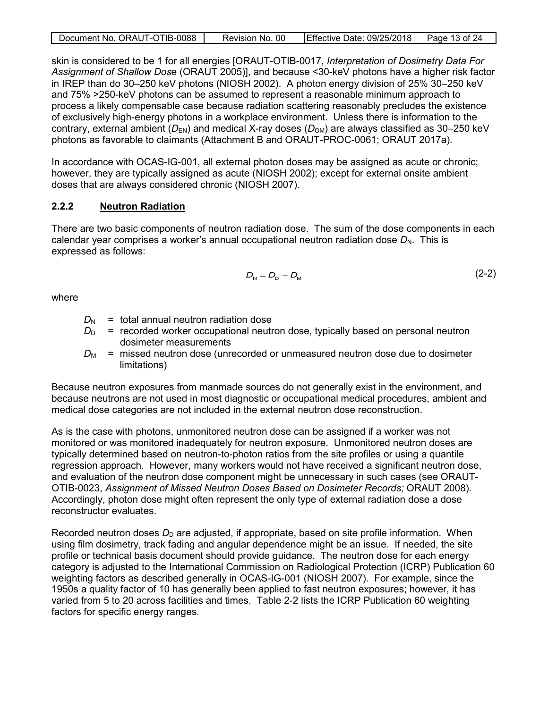| Document No. ORAUT-OTIB-0088 | Revision No. 00 | Effective Date: 09/25/2018 Page 13 of 24 |  |
|------------------------------|-----------------|------------------------------------------|--|
|                              |                 |                                          |  |

skin is considered to be 1 for all energies [ORAUT-OTIB-0017, *Interpretation of Dosimetry Data For Assignment of Shallow Dos*e (ORAUT 2005)], and because <30-keV photons have a higher risk factor in IREP than do 30–250 keV photons (NIOSH 2002). A photon energy division of 25% 30–250 keV and 75% >250-keV photons can be assumed to represent a reasonable minimum approach to process a likely compensable case because radiation scattering reasonably precludes the existence of exclusively high-energy photons in a workplace environment. Unless there is information to the contrary, external ambient ( $D_{EN}$ ) and medical X-ray doses ( $D_{OM}$ ) are always classified as 30–250 keV photons as favorable to claimants (Attachment B and ORAUT-PROC-0061; ORAUT 2017a).

In accordance with OCAS-IG-001, all external photon doses may be assigned as acute or chronic; however, they are typically assigned as acute (NIOSH 2002); except for external onsite ambient doses that are always considered chronic (NIOSH 2007).

#### <span id="page-12-0"></span>**2.2.2 Neutron Radiation**

There are two basic components of neutron radiation dose. The sum of the dose components in each calendar year comprises a worker's annual occupational neutron radiation dose  $D_N$ . This is expressed as follows:

$$
D_{\rm N}=D_{\rm D}+D_{\rm M} \tag{2-2}
$$

where

- $D_N$  = total annual neutron radiation dose
- $D<sub>D</sub>$  = recorded worker occupational neutron dose, typically based on personal neutron dosimeter measurements
- $D_M$  = missed neutron dose (unrecorded or unmeasured neutron dose due to dosimeter limitations)

Because neutron exposures from manmade sources do not generally exist in the environment, and because neutrons are not used in most diagnostic or occupational medical procedures, ambient and medical dose categories are not included in the external neutron dose reconstruction.

As is the case with photons, unmonitored neutron dose can be assigned if a worker was not monitored or was monitored inadequately for neutron exposure. Unmonitored neutron doses are typically determined based on neutron-to-photon ratios from the site profiles or using a quantile regression approach. However, many workers would not have received a significant neutron dose, and evaluation of the neutron dose component might be unnecessary in such cases (see ORAUT-OTIB-0023, *Assignment of Missed Neutron Doses Based on Dosimeter Records;* ORAUT 2008). Accordingly, photon dose might often represent the only type of external radiation dose a dose reconstructor evaluates.

Recorded neutron doses  $D<sub>D</sub>$  are adjusted, if appropriate, based on site profile information. When using film dosimetry, track fading and angular dependence might be an issue. If needed, the site profile or technical basis document should provide guidance. The neutron dose for each energy category is adjusted to the International Commission on Radiological Protection (ICRP) Publication 60 weighting factors as described generally in OCAS-IG-001 (NIOSH 2007). For example, since the 1950s a quality factor of 10 has generally been applied to fast neutron exposures; however, it has varied from 5 to 20 across facilities and times. Table 2-2 lists the ICRP Publication 60 weighting factors for specific energy ranges.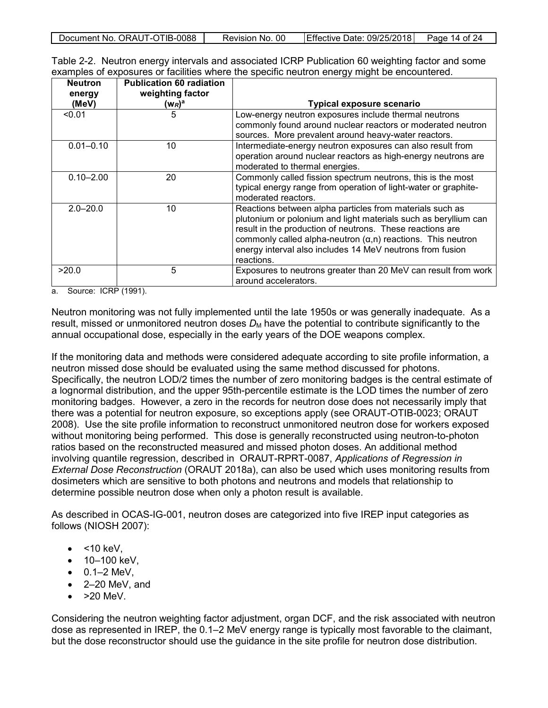| Document No. ORAUT-OTIB-0088 | Revision No. 00 | Effective Date: 09/25/2018 | Page 14 of 24 |
|------------------------------|-----------------|----------------------------|---------------|
|                              |                 |                            |               |

<span id="page-13-0"></span>

|  |  | Table 2-2. Neutron energy intervals and associated ICRP Publication 60 weighting factor and some |
|--|--|--------------------------------------------------------------------------------------------------|
|  |  | examples of exposures or facilities where the specific neutron energy might be encountered.      |

| <b>Neutron</b><br>energy<br>(MeV) | <b>Publication 60 radiation</b><br>weighting factor<br>(W <sub>R</sub> )ª | <b>Typical exposure scenario</b>                                                                                                                                                                                                                                                                                                           |
|-----------------------------------|---------------------------------------------------------------------------|--------------------------------------------------------------------------------------------------------------------------------------------------------------------------------------------------------------------------------------------------------------------------------------------------------------------------------------------|
| < 0.01                            | 5                                                                         | Low-energy neutron exposures include thermal neutrons<br>commonly found around nuclear reactors or moderated neutron<br>sources. More prevalent around heavy-water reactors.                                                                                                                                                               |
| $0.01 - 0.10$                     | 10                                                                        | Intermediate-energy neutron exposures can also result from<br>operation around nuclear reactors as high-energy neutrons are<br>moderated to thermal energies.                                                                                                                                                                              |
| $0.10 - 2.00$                     | 20                                                                        | Commonly called fission spectrum neutrons, this is the most<br>typical energy range from operation of light-water or graphite-<br>moderated reactors.                                                                                                                                                                                      |
| $2.0 - 20.0$                      | 10                                                                        | Reactions between alpha particles from materials such as<br>plutonium or polonium and light materials such as beryllium can<br>result in the production of neutrons. These reactions are<br>commonly called alpha-neutron $(\alpha, n)$ reactions. This neutron<br>energy interval also includes 14 MeV neutrons from fusion<br>reactions. |
| >20.0                             | 5                                                                         | Exposures to neutrons greater than 20 MeV can result from work<br>around accelerators.                                                                                                                                                                                                                                                     |

a. Source: ICRP (1991).

Neutron monitoring was not fully implemented until the late 1950s or was generally inadequate. As a result, missed or unmonitored neutron doses  $D_M$  have the potential to contribute significantly to the annual occupational dose, especially in the early years of the DOE weapons complex.

If the monitoring data and methods were considered adequate according to site profile information, a neutron missed dose should be evaluated using the same method discussed for photons. Specifically, the neutron LOD/2 times the number of zero monitoring badges is the central estimate of a lognormal distribution, and the upper 95th-percentile estimate is the LOD times the number of zero monitoring badges. However, a zero in the records for neutron dose does not necessarily imply that there was a potential for neutron exposure, so exceptions apply (see ORAUT-OTIB-0023; ORAUT 2008). Use the site profile information to reconstruct unmonitored neutron dose for workers exposed without monitoring being performed. This dose is generally reconstructed using neutron-to-photon ratios based on the reconstructed measured and missed photon doses. An additional method involving quantile regression, described in ORAUT-RPRT-0087, *Applications of Regression in External Dose Reconstruction* (ORAUT 2018a), can also be used which uses monitoring results from dosimeters which are sensitive to both photons and neutrons and models that relationship to determine possible neutron dose when only a photon result is available.

As described in OCAS-IG-001, neutron doses are categorized into five IREP input categories as follows (NIOSH 2007):

- $\bullet$  <10 keV.
- 10–100 keV,
- $\bullet$  0.1–2 MeV,
- 2–20 MeV, and
- $\bullet$  >20 MeV.

Considering the neutron weighting factor adjustment, organ DCF, and the risk associated with neutron dose as represented in IREP, the 0.1–2 MeV energy range is typically most favorable to the claimant, but the dose reconstructor should use the guidance in the site profile for neutron dose distribution.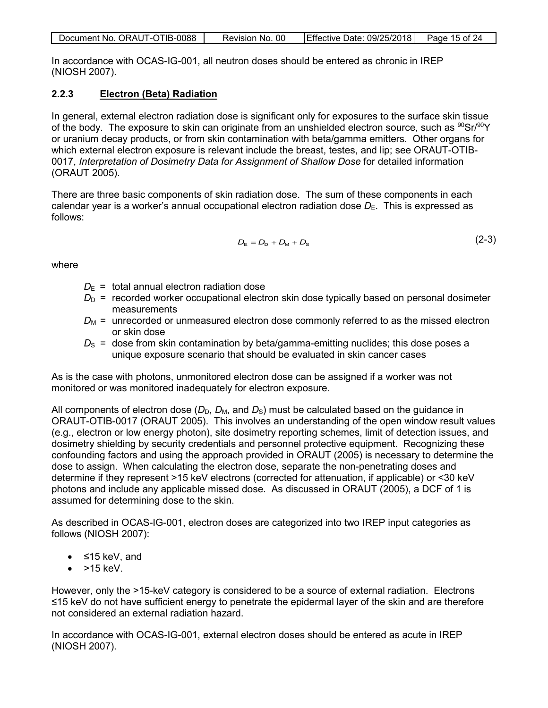| Document No. ORAUT-OTIB-0088 | Revision No. 00 | Effective Date: 09/25/2018 Page 15 of 24 |  |
|------------------------------|-----------------|------------------------------------------|--|

In accordance with OCAS-IG-001, all neutron doses should be entered as chronic in IREP (NIOSH 2007).

### <span id="page-14-0"></span>**2.2.3 Electron (Beta) Radiation**

In general, external electron radiation dose is significant only for exposures to the surface skin tissue of the body. The exposure to skin can originate from an unshielded electron source, such as  $90\$ Sr/90Y or uranium decay products, or from skin contamination with beta/gamma emitters. Other organs for which external electron exposure is relevant include the breast, testes, and lip; see ORAUT-OTIB-0017, *Interpretation of Dosimetry Data for Assignment of Shallow Dose* for detailed information (ORAUT 2005).

There are three basic components of skin radiation dose. The sum of these components in each calendar year is a worker's annual occupational electron radiation dose  $D_{E}$ . This is expressed as follows:

$$
D_{\rm E} = D_{\rm D} + D_{\rm M} + D_{\rm s} \tag{2-3}
$$

where

- $D_{\text{E}}$  = total annual electron radiation dose
- $D<sub>D</sub>$  = recorded worker occupational electron skin dose typically based on personal dosimeter measurements
- *D*M *=* unrecorded or unmeasured electron dose commonly referred to as the missed electron or skin dose
- $D<sub>S</sub>$  = dose from skin contamination by beta/gamma-emitting nuclides; this dose poses a unique exposure scenario that should be evaluated in skin cancer cases

As is the case with photons, unmonitored electron dose can be assigned if a worker was not monitored or was monitored inadequately for electron exposure.

All components of electron dose ( $D_D$ ,  $D_M$ , and  $D_S$ ) must be calculated based on the guidance in ORAUT-OTIB-0017 (ORAUT 2005). This involves an understanding of the open window result values (e.g., electron or low energy photon), site dosimetry reporting schemes, limit of detection issues, and dosimetry shielding by security credentials and personnel protective equipment. Recognizing these confounding factors and using the approach provided in ORAUT (2005) is necessary to determine the dose to assign. When calculating the electron dose, separate the non-penetrating doses and determine if they represent >15 keV electrons (corrected for attenuation, if applicable) or <30 keV photons and include any applicable missed dose. As discussed in ORAUT (2005), a DCF of 1 is assumed for determining dose to the skin.

As described in OCAS-IG-001, electron doses are categorized into two IREP input categories as follows (NIOSH 2007):

- ≤15 keV, and
- $>$  15 keV.

However, only the >15-keV category is considered to be a source of external radiation. Electrons ≤15 keV do not have sufficient energy to penetrate the epidermal layer of the skin and are therefore not considered an external radiation hazard.

In accordance with OCAS-IG-001, external electron doses should be entered as acute in IREP (NIOSH 2007).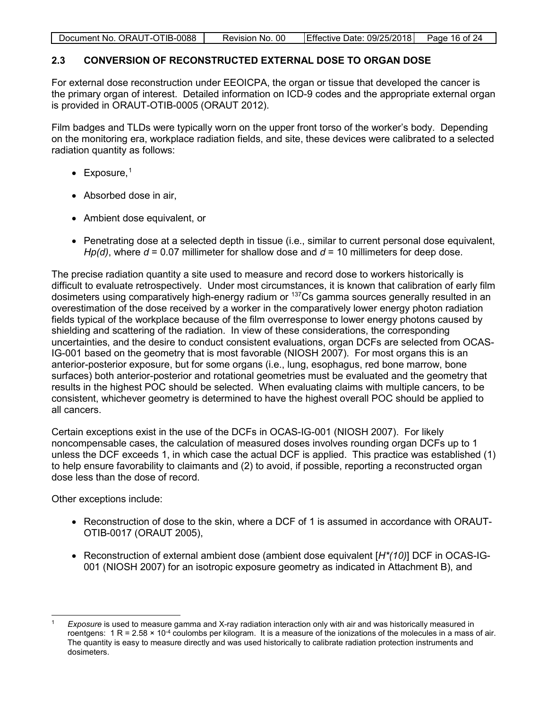| Document No. ORAUT-OTIB-0088 | Revision No. 00 | Effective Date: 09/25/2018 | Page 16 of 24 |
|------------------------------|-----------------|----------------------------|---------------|
|                              |                 |                            |               |

# <span id="page-15-0"></span>**2.3 CONVERSION OF RECONSTRUCTED EXTERNAL DOSE TO ORGAN DOSE**

For external dose reconstruction under EEOICPA, the organ or tissue that developed the cancer is the primary organ of interest. Detailed information on ICD-9 codes and the appropriate external organ is provided in ORAUT-OTIB-0005 (ORAUT 2012).

Film badges and TLDs were typically worn on the upper front torso of the worker's body. Depending on the monitoring era, workplace radiation fields, and site, these devices were calibrated to a selected radiation quantity as follows:

- Exposure,<sup>[1](#page-15-1)</sup>
- Absorbed dose in air,
- Ambient dose equivalent, or
- Penetrating dose at a selected depth in tissue (i.e., similar to current personal dose equivalent, *Hp(d)*, where *d* = 0.07 millimeter for shallow dose and *d* = 10 millimeters for deep dose.

The precise radiation quantity a site used to measure and record dose to workers historically is difficult to evaluate retrospectively. Under most circumstances, it is known that calibration of early film dosimeters using comparatively high-energy radium or 137Cs gamma sources generally resulted in an overestimation of the dose received by a worker in the comparatively lower energy photon radiation fields typical of the workplace because of the film overresponse to lower energy photons caused by shielding and scattering of the radiation. In view of these considerations, the corresponding uncertainties, and the desire to conduct consistent evaluations, organ DCFs are selected from OCAS-IG-001 based on the geometry that is most favorable (NIOSH 2007). For most organs this is an anterior-posterior exposure, but for some organs (i.e., lung, esophagus, red bone marrow, bone surfaces) both anterior-posterior and rotational geometries must be evaluated and the geometry that results in the highest POC should be selected. When evaluating claims with multiple cancers, to be consistent, whichever geometry is determined to have the highest overall POC should be applied to all cancers.

Certain exceptions exist in the use of the DCFs in OCAS-IG-001 (NIOSH 2007). For likely noncompensable cases, the calculation of measured doses involves rounding organ DCFs up to 1 unless the DCF exceeds 1, in which case the actual DCF is applied. This practice was established (1) to help ensure favorability to claimants and (2) to avoid, if possible, reporting a reconstructed organ dose less than the dose of record.

Other exceptions include:

- Reconstruction of dose to the skin, where a DCF of 1 is assumed in accordance with ORAUT-OTIB-0017 (ORAUT 2005),
- Reconstruction of external ambient dose (ambient dose equivalent [*H\*(10)*] DCF in OCAS-IG-001 (NIOSH 2007) for an isotropic exposure geometry as indicated in Attachment B), and

<span id="page-15-1"></span><sup>1</sup> *Exposure* is used to measure gamma and X-ray radiation interaction only with air and was historically measured in roentgens:  $1 R = 2.58 \times 10^{-4}$  coulombs per kilogram. It is a measure of the ionizations of the molecules in a mass of air. The quantity is easy to measure directly and was used historically to calibrate radiation protection instruments and dosimeters.  $\overline{a}$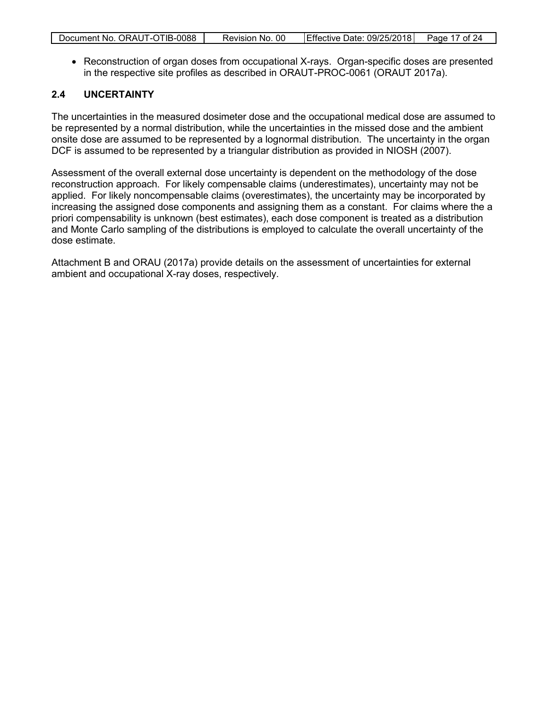|  | Document No. ORAUT-OTIB-0088 | Revision No. 00 | Effective Date: 09/25/2018 Page 17 of 24 |  |
|--|------------------------------|-----------------|------------------------------------------|--|
|--|------------------------------|-----------------|------------------------------------------|--|

• Reconstruction of organ doses from occupational X-rays. Organ-specific doses are presented in the respective site profiles as described in ORAUT-PROC-0061 (ORAUT 2017a).

#### <span id="page-16-0"></span>**2.4 UNCERTAINTY**

The uncertainties in the measured dosimeter dose and the occupational medical dose are assumed to be represented by a normal distribution, while the uncertainties in the missed dose and the ambient onsite dose are assumed to be represented by a lognormal distribution. The uncertainty in the organ DCF is assumed to be represented by a triangular distribution as provided in NIOSH (2007).

Assessment of the overall external dose uncertainty is dependent on the methodology of the dose reconstruction approach. For likely compensable claims (underestimates), uncertainty may not be applied. For likely noncompensable claims (overestimates), the uncertainty may be incorporated by increasing the assigned dose components and assigning them as a constant. For claims where the a priori compensability is unknown (best estimates), each dose component is treated as a distribution and Monte Carlo sampling of the distributions is employed to calculate the overall uncertainty of the dose estimate.

Attachment B and ORAU (2017a) provide details on the assessment of uncertainties for external ambient and occupational X-ray doses, respectively.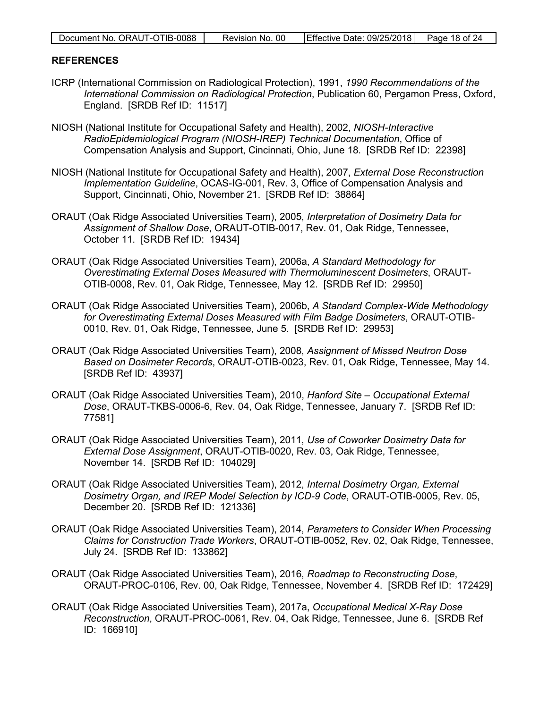| Document No. ORAUT-OTIB-0088 | Revision No. 00 | Effective Date: 09/25/2018 Page 18 of 24 |  |
|------------------------------|-----------------|------------------------------------------|--|

#### <span id="page-17-0"></span>**REFERENCES**

- ICRP (International Commission on Radiological Protection), 1991, *1990 Recommendations of the International Commission on Radiological Protection*, Publication 60, Pergamon Press, Oxford, England. [SRDB Ref ID: 11517]
- NIOSH (National Institute for Occupational Safety and Health), 2002, *NIOSH-Interactive RadioEpidemiological Program (NIOSH-IREP) Technical Documentation*, Office of Compensation Analysis and Support, Cincinnati, Ohio, June 18. [SRDB Ref ID: 22398]
- NIOSH (National Institute for Occupational Safety and Health), 2007, *External Dose Reconstruction Implementation Guideline*, OCAS-IG-001, Rev. 3, Office of Compensation Analysis and Support, Cincinnati, Ohio, November 21. [SRDB Ref ID: 38864]
- ORAUT (Oak Ridge Associated Universities Team), 2005, *Interpretation of Dosimetry Data for Assignment of Shallow Dose*, ORAUT-OTIB-0017, Rev. 01, Oak Ridge, Tennessee, October 11. [SRDB Ref ID: 19434]
- ORAUT (Oak Ridge Associated Universities Team), 2006a, *A Standard Methodology for Overestimating External Doses Measured with Thermoluminescent Dosimeters*, ORAUT-OTIB-0008, Rev. 01, Oak Ridge, Tennessee, May 12. [SRDB Ref ID: 29950]
- ORAUT (Oak Ridge Associated Universities Team), 2006b, *A Standard Complex-Wide Methodology for Overestimating External Doses Measured with Film Badge Dosimeters*, ORAUT-OTIB-0010, Rev. 01, Oak Ridge, Tennessee, June 5. [SRDB Ref ID: 29953]
- ORAUT (Oak Ridge Associated Universities Team), 2008, *Assignment of Missed Neutron Dose Based on Dosimeter Records*, ORAUT-OTIB-0023, Rev. 01, Oak Ridge, Tennessee, May 14. [SRDB Ref ID: 43937]
- ORAUT (Oak Ridge Associated Universities Team), 2010, *Hanford Site Occupational External Dose*, ORAUT-TKBS-0006-6, Rev. 04, Oak Ridge, Tennessee, January 7. [SRDB Ref ID: 77581]
- ORAUT (Oak Ridge Associated Universities Team), 2011, *Use of Coworker Dosimetry Data for External Dose Assignment*, ORAUT-OTIB-0020, Rev. 03, Oak Ridge, Tennessee, November 14. [SRDB Ref ID: 104029]
- ORAUT (Oak Ridge Associated Universities Team), 2012, *Internal Dosimetry Organ, External Dosimetry Organ, and IREP Model Selection by ICD-9 Code*, ORAUT-OTIB-0005, Rev. 05, December 20. [SRDB Ref ID: 121336]
- ORAUT (Oak Ridge Associated Universities Team), 2014, *Parameters to Consider When Processing Claims for Construction Trade Workers*, ORAUT-OTIB-0052, Rev. 02, Oak Ridge, Tennessee, July 24. [SRDB Ref ID: 133862]
- ORAUT (Oak Ridge Associated Universities Team), 2016, *Roadmap to Reconstructing Dose*, ORAUT-PROC-0106, Rev. 00, Oak Ridge, Tennessee, November 4. [SRDB Ref ID: 172429]
- ORAUT (Oak Ridge Associated Universities Team), 2017a, *Occupational Medical X-Ray Dose Reconstruction*, ORAUT-PROC-0061, Rev. 04, Oak Ridge, Tennessee, June 6. [SRDB Ref ID: 166910]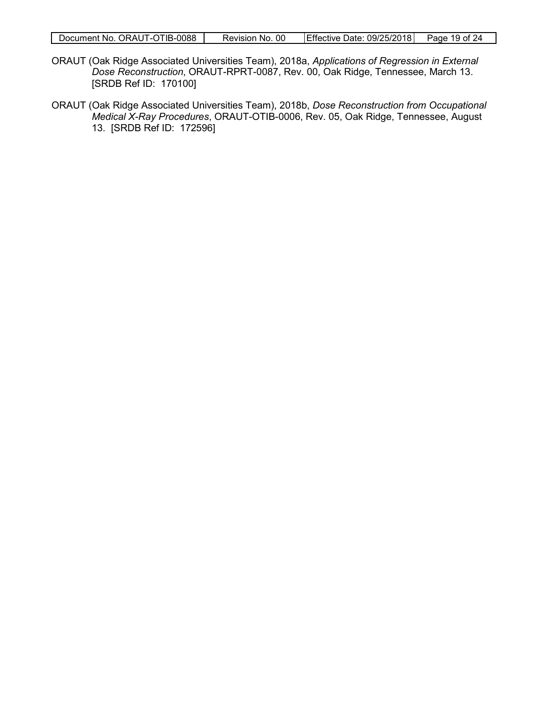- ORAUT (Oak Ridge Associated Universities Team), 2018a, *Applications of Regression in External Dose Reconstruction*, ORAUT-RPRT-0087, Rev. 00, Oak Ridge, Tennessee, March 13. [SRDB Ref ID: 170100]
- ORAUT (Oak Ridge Associated Universities Team), 2018b, *Dose Reconstruction from Occupational Medical X-Ray Procedures*, ORAUT-OTIB-0006, Rev. 05, Oak Ridge, Tennessee, August 13. [SRDB Ref ID: 172596]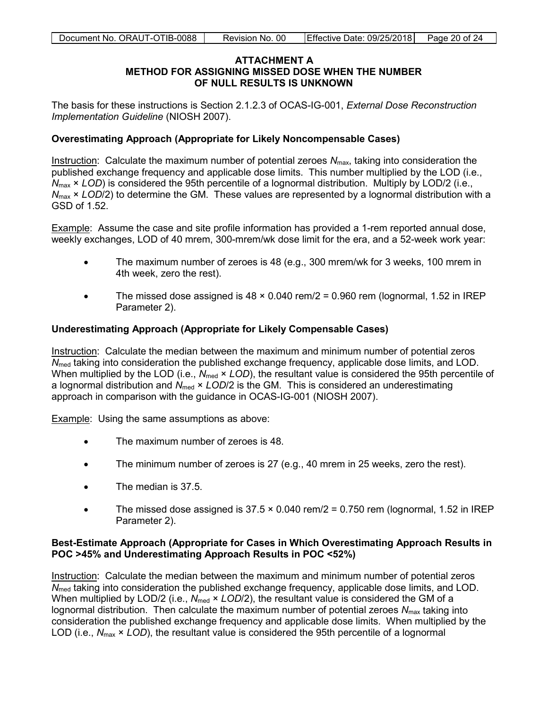#### **ATTACHMENT A METHOD FOR ASSIGNING MISSED DOSE WHEN THE NUMBER OF NULL RESULTS IS UNKNOWN**

<span id="page-19-0"></span>The basis for these instructions is Section 2.1.2.3 of OCAS-IG-001, *External Dose Reconstruction Implementation Guideline* (NIOSH 2007).

#### **Overestimating Approach (Appropriate for Likely Noncompensable Cases)**

Instruction: Calculate the maximum number of potential zeroes *N*max, taking into consideration the published exchange frequency and applicable dose limits. This number multiplied by the LOD (i.e., *N*max × *LOD*) is considered the 95th percentile of a lognormal distribution. Multiply by LOD/2 (i.e., *N*max × *LOD*/2) to determine the GM. These values are represented by a lognormal distribution with a GSD of 1.52.

Example: Assume the case and site profile information has provided a 1-rem reported annual dose, weekly exchanges, LOD of 40 mrem, 300-mrem/wk dose limit for the era, and a 52-week work year:

- The maximum number of zeroes is 48 (e.g., 300 mrem/wk for 3 weeks, 100 mrem in 4th week, zero the rest).
- The missed dose assigned is  $48 \times 0.040$  rem/2 = 0.960 rem (lognormal, 1.52 in IREP Parameter 2).

#### **Underestimating Approach (Appropriate for Likely Compensable Cases)**

Instruction: Calculate the median between the maximum and minimum number of potential zeros *N*<sub>med</sub> taking into consideration the published exchange frequency, applicable dose limits, and LOD. When multiplied by the LOD (i.e.,  $N_{med} \times LOD$ ), the resultant value is considered the 95th percentile of a lognormal distribution and  $N_{\text{med}} \times \text{LOD}/2$  is the GM. This is considered an underestimating approach in comparison with the guidance in OCAS-IG-001 (NIOSH 2007).

Example: Using the same assumptions as above:

- The maximum number of zeroes is 48.
- The minimum number of zeroes is 27 (e.g., 40 mrem in 25 weeks, zero the rest).
- The median is 37.5.
- The missed dose assigned is  $37.5 \times 0.040$  rem/ $2 = 0.750$  rem (lognormal, 1.52 in IREP Parameter 2).

#### **Best-Estimate Approach (Appropriate for Cases in Which Overestimating Approach Results in POC >45% and Underestimating Approach Results in POC <52%)**

Instruction: Calculate the median between the maximum and minimum number of potential zeros *N*<sub>med</sub> taking into consideration the published exchange frequency, applicable dose limits, and LOD. When multiplied by LOD/2 (i.e., N<sub>med</sub>  $\times$  *LOD*/2), the resultant value is considered the GM of a lognormal distribution. Then calculate the maximum number of potential zeroes  $N_{\text{max}}$  taking into consideration the published exchange frequency and applicable dose limits. When multiplied by the LOD (i.e., *N*max × *LOD*), the resultant value is considered the 95th percentile of a lognormal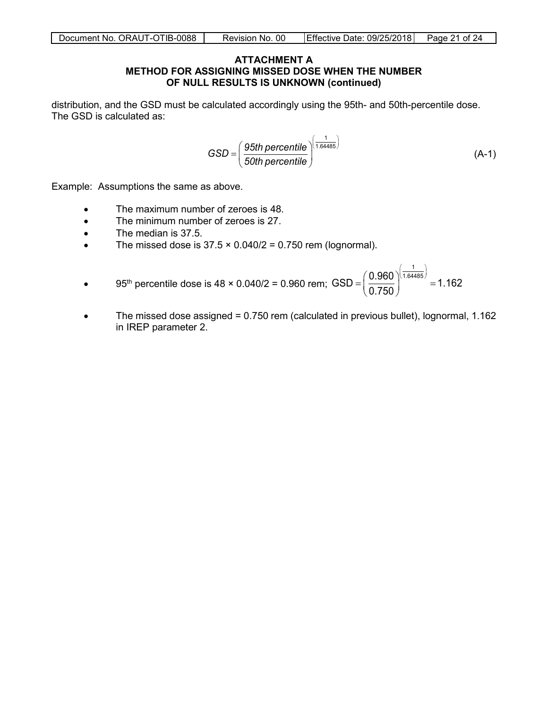#### **ATTACHMENT A METHOD FOR ASSIGNING MISSED DOSE WHEN THE NUMBER OF NULL RESULTS IS UNKNOWN (continued)**

distribution, and the GSD must be calculated accordingly using the 95th- and 50th-percentile dose. The GSD is calculated as:

$$
GSD = \left(\frac{95th\,\text{percentile}}{50th\,\text{percentile}}\right)^{\left(\frac{1}{1.64485}\right)}
$$
\n(A-1)

Example: Assumptions the same as above.

- The maximum number of zeroes is 48.
- The minimum number of zeroes is 27.
- The median is 37.5.
- The missed dose is  $37.5 \times 0.040/2 = 0.750$  rem (lognormal).
- 95<sup>th</sup> percentile dose is  $48 \times 0.040/2 = 0.960$  rem; 1  $GSD = \left(\frac{0.960}{2.750}\right)^{(1.64485)} = 1.162$ 0.750  $(0.960)^{\left(\frac{1}{1.64485}\right)}$  $=\left(\frac{0.000}{0.750}\right)^{7}$  =
- The missed dose assigned = 0.750 rem (calculated in previous bullet), lognormal, 1.162 in IREP parameter 2.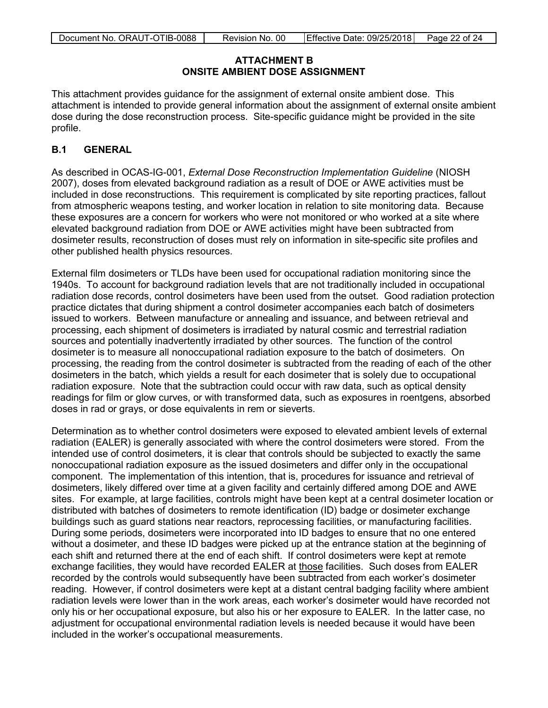### **ATTACHMENT B ONSITE AMBIENT DOSE ASSIGNMENT**

<span id="page-21-0"></span>This attachment provides guidance for the assignment of external onsite ambient dose. This attachment is intended to provide general information about the assignment of external onsite ambient dose during the dose reconstruction process. Site-specific guidance might be provided in the site profile.

### **B.1 GENERAL**

As described in OCAS-IG-001, *External Dose Reconstruction Implementation Guideline* (NIOSH 2007), doses from elevated background radiation as a result of DOE or AWE activities must be included in dose reconstructions. This requirement is complicated by site reporting practices, fallout from atmospheric weapons testing, and worker location in relation to site monitoring data. Because these exposures are a concern for workers who were not monitored or who worked at a site where elevated background radiation from DOE or AWE activities might have been subtracted from dosimeter results, reconstruction of doses must rely on information in site-specific site profiles and other published health physics resources.

External film dosimeters or TLDs have been used for occupational radiation monitoring since the 1940s. To account for background radiation levels that are not traditionally included in occupational radiation dose records, control dosimeters have been used from the outset. Good radiation protection practice dictates that during shipment a control dosimeter accompanies each batch of dosimeters issued to workers. Between manufacture or annealing and issuance, and between retrieval and processing, each shipment of dosimeters is irradiated by natural cosmic and terrestrial radiation sources and potentially inadvertently irradiated by other sources. The function of the control dosimeter is to measure all nonoccupational radiation exposure to the batch of dosimeters. On processing, the reading from the control dosimeter is subtracted from the reading of each of the other dosimeters in the batch, which yields a result for each dosimeter that is solely due to occupational radiation exposure. Note that the subtraction could occur with raw data, such as optical density readings for film or glow curves, or with transformed data, such as exposures in roentgens, absorbed doses in rad or grays, or dose equivalents in rem or sieverts.

Determination as to whether control dosimeters were exposed to elevated ambient levels of external radiation (EALER) is generally associated with where the control dosimeters were stored. From the intended use of control dosimeters, it is clear that controls should be subjected to exactly the same nonoccupational radiation exposure as the issued dosimeters and differ only in the occupational component. The implementation of this intention, that is, procedures for issuance and retrieval of dosimeters, likely differed over time at a given facility and certainly differed among DOE and AWE sites. For example, at large facilities, controls might have been kept at a central dosimeter location or distributed with batches of dosimeters to remote identification (ID) badge or dosimeter exchange buildings such as guard stations near reactors, reprocessing facilities, or manufacturing facilities. During some periods, dosimeters were incorporated into ID badges to ensure that no one entered without a dosimeter, and these ID badges were picked up at the entrance station at the beginning of each shift and returned there at the end of each shift. If control dosimeters were kept at remote exchange facilities, they would have recorded EALER at those facilities. Such doses from EALER recorded by the controls would subsequently have been subtracted from each worker's dosimeter reading. However, if control dosimeters were kept at a distant central badging facility where ambient radiation levels were lower than in the work areas, each worker's dosimeter would have recorded not only his or her occupational exposure, but also his or her exposure to EALER. In the latter case, no adjustment for occupational environmental radiation levels is needed because it would have been included in the worker's occupational measurements.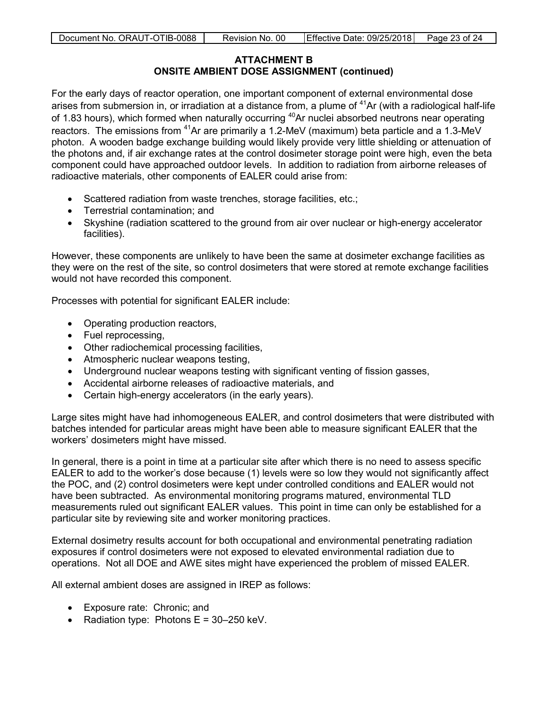#### **ATTACHMENT B ONSITE AMBIENT DOSE ASSIGNMENT (continued)**

For the early days of reactor operation, one important component of external environmental dose arises from submersion in, or irradiation at a distance from, a plume of  $41$ Ar (with a radiological half-life of 1.83 hours), which formed when naturally occurring <sup>40</sup>Ar nuclei absorbed neutrons near operating reactors. The emissions from 41Ar are primarily a 1.2-MeV (maximum) beta particle and a 1.3-MeV photon. A wooden badge exchange building would likely provide very little shielding or attenuation of the photons and, if air exchange rates at the control dosimeter storage point were high, even the beta component could have approached outdoor levels. In addition to radiation from airborne releases of radioactive materials, other components of EALER could arise from:

- Scattered radiation from waste trenches, storage facilities, etc.;
- Terrestrial contamination; and
- Skyshine (radiation scattered to the ground from air over nuclear or high-energy accelerator facilities).

However, these components are unlikely to have been the same at dosimeter exchange facilities as they were on the rest of the site, so control dosimeters that were stored at remote exchange facilities would not have recorded this component.

Processes with potential for significant EALER include:

- Operating production reactors,
- Fuel reprocessing,
- Other radiochemical processing facilities,
- Atmospheric nuclear weapons testing,
- Underground nuclear weapons testing with significant venting of fission gasses,
- Accidental airborne releases of radioactive materials, and
- Certain high-energy accelerators (in the early years).

Large sites might have had inhomogeneous EALER, and control dosimeters that were distributed with batches intended for particular areas might have been able to measure significant EALER that the workers' dosimeters might have missed.

In general, there is a point in time at a particular site after which there is no need to assess specific EALER to add to the worker's dose because (1) levels were so low they would not significantly affect the POC, and (2) control dosimeters were kept under controlled conditions and EALER would not have been subtracted. As environmental monitoring programs matured, environmental TLD measurements ruled out significant EALER values. This point in time can only be established for a particular site by reviewing site and worker monitoring practices.

External dosimetry results account for both occupational and environmental penetrating radiation exposures if control dosimeters were not exposed to elevated environmental radiation due to operations. Not all DOE and AWE sites might have experienced the problem of missed EALER.

All external ambient doses are assigned in IREP as follows:

- Exposure rate: Chronic; and
- Radiation type: Photons  $E = 30-250$  keV.